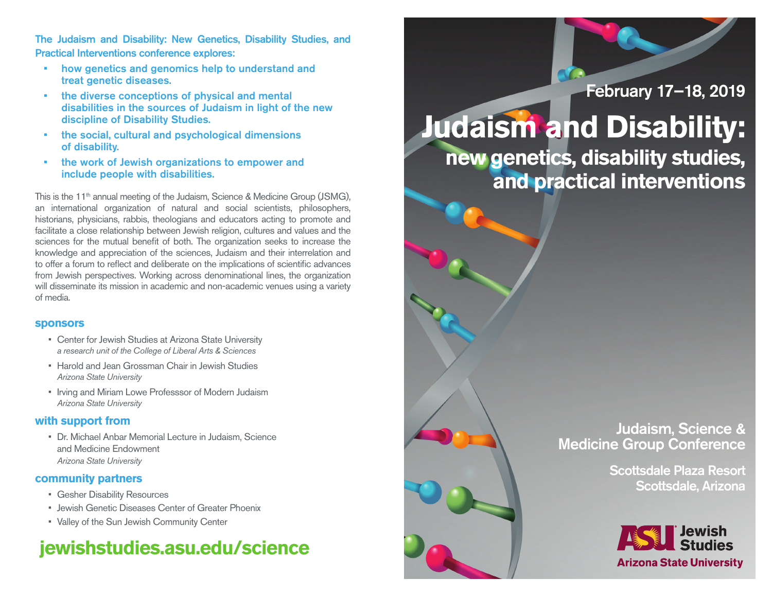The Judaism and Disability: New Genetics, Disability Studies, and Practical Interventions conference explores:

- • how genetics and genomics help to understand and treat genetic diseases.
- the diverse conceptions of physical and mental disabilities in the sources of Judaism in light of the new discipline of Disability Studies.
- the social, cultural and psychological dimensions of disability.
- • the work of Jewish organizations to empower and include people with disabilities.

This is the 11<sup>th</sup> annual meeting of the Judaism, Science & Medicine Group (JSMG), an international organization of natural and social scientists, philosophers, historians, physicians, rabbis, theologians and educators acting to promote and facilitate a close relationship between Jewish religion, cultures and values and the sciences for the mutual benefit of both. The organization seeks to increase the knowledge and appreciation of the sciences, Judaism and their interrelation and to offer a forum to reflect and deliberate on the implications of scientific advances from Jewish perspectives. Working across denominational lines, the organization will disseminate its mission in academic and non-academic venues using a variety of media.

#### **sponsors**

- Center for Jewish Studies at Arizona State University *a research unit of the College of Liberal Arts & Sciences*
- Harold and Jean Grossman Chair in Jewish Studies *Arizona State University*
- Irving and Miriam Lowe Professsor of Modern Judaism *Arizona State University*

### **with support from**

• Dr. Michael Anbar Memorial Lecture in Judaism, Science and Medicine Endowment *Arizona State University*

### **community partners**

- • Gesher Disability Resources
- Jewish Genetic Diseases Center of Greater Phoenix
- • Valley of the Sun Jewish Community Center

## **jewishstudies.asu.edu/science**

## February 17–18, 2019

# **Judaism and Disability:**

**new genetics, disability studies, and practical interventions**

## Judaism, Science & Medicine Group Conference

Scottsdale Plaza Resort Scottsdale, Arizona